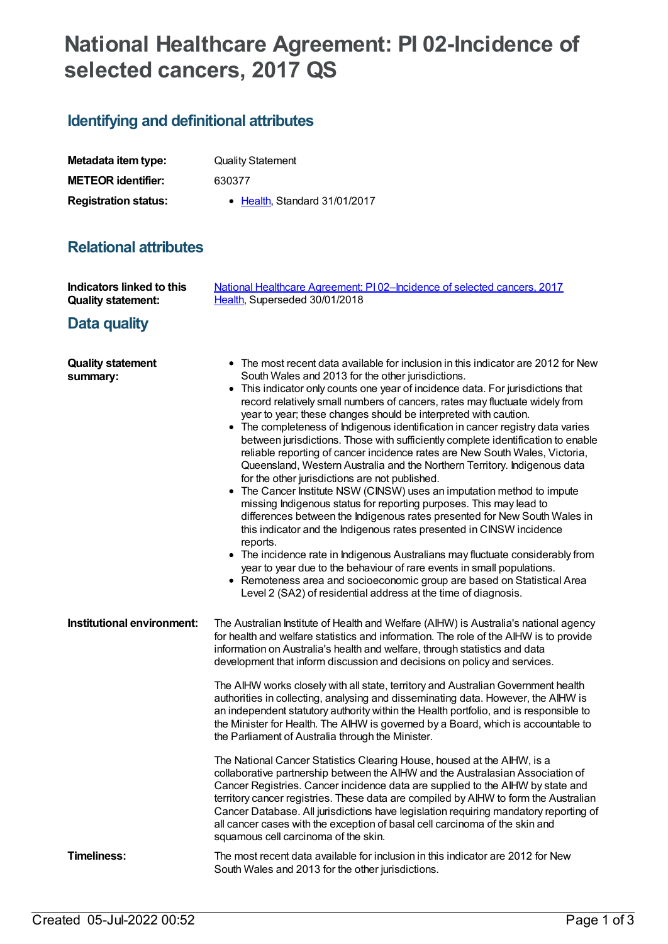# **National Healthcare Agreement: PI 02-Incidence of selected cancers, 2017 QS**

## **Identifying and definitional attributes**

| Metadata item type:         | <b>Quality Statement</b>              |
|-----------------------------|---------------------------------------|
| <b>METEOR identifier:</b>   | 630377                                |
| <b>Registration status:</b> | $\bullet$ Health. Standard 31/01/2017 |

## **Relational attributes**

| Indicators linked to this<br><b>Quality statement:</b> | National Healthcare Agreement: PI02-Incidence of selected cancers, 2017<br>Health, Superseded 30/01/2018                                                                                                                                                                                                                                                                                                                                                                                                                                                                                                                                                                                                                                                                                                                                                                                                                                                                                                                                                                                                                                                                                                                                                                                                                                                                                  |
|--------------------------------------------------------|-------------------------------------------------------------------------------------------------------------------------------------------------------------------------------------------------------------------------------------------------------------------------------------------------------------------------------------------------------------------------------------------------------------------------------------------------------------------------------------------------------------------------------------------------------------------------------------------------------------------------------------------------------------------------------------------------------------------------------------------------------------------------------------------------------------------------------------------------------------------------------------------------------------------------------------------------------------------------------------------------------------------------------------------------------------------------------------------------------------------------------------------------------------------------------------------------------------------------------------------------------------------------------------------------------------------------------------------------------------------------------------------|
| Data quality                                           |                                                                                                                                                                                                                                                                                                                                                                                                                                                                                                                                                                                                                                                                                                                                                                                                                                                                                                                                                                                                                                                                                                                                                                                                                                                                                                                                                                                           |
| <b>Quality statement</b><br>summary:                   | • The most recent data available for inclusion in this indicator are 2012 for New<br>South Wales and 2013 for the other jurisdictions.<br>• This indicator only counts one year of incidence data. For jurisdictions that<br>record relatively small numbers of cancers, rates may fluctuate widely from<br>year to year; these changes should be interpreted with caution.<br>• The completeness of Indigenous identification in cancer registry data varies<br>between jurisdictions. Those with sufficiently complete identification to enable<br>reliable reporting of cancer incidence rates are New South Wales, Victoria,<br>Queensland, Western Australia and the Northern Territory. Indigenous data<br>for the other jurisdictions are not published.<br>• The Cancer Institute NSW (CINSW) uses an imputation method to impute<br>missing Indigenous status for reporting purposes. This may lead to<br>differences between the Indigenous rates presented for New South Wales in<br>this indicator and the Indigenous rates presented in CINSW incidence<br>reports.<br>• The incidence rate in Indigenous Australians may fluctuate considerably from<br>year to year due to the behaviour of rare events in small populations.<br>• Remoteness area and socioeconomic group are based on Statistical Area<br>Level 2 (SA2) of residential address at the time of diagnosis. |
| Institutional environment:                             | The Australian Institute of Health and Welfare (AIHW) is Australia's national agency<br>for health and welfare statistics and information. The role of the AIHW is to provide<br>information on Australia's health and welfare, through statistics and data<br>development that inform discussion and decisions on policy and services.<br>The AIHW works closely with all state, territory and Australian Government health<br>authorities in collecting, analysing and disseminating data. However, the AIHW is                                                                                                                                                                                                                                                                                                                                                                                                                                                                                                                                                                                                                                                                                                                                                                                                                                                                         |
|                                                        | an independent statutory authority within the Health portfolio, and is responsible to<br>the Minister for Health. The AIHW is governed by a Board, which is accountable to<br>the Parliament of Australia through the Minister.                                                                                                                                                                                                                                                                                                                                                                                                                                                                                                                                                                                                                                                                                                                                                                                                                                                                                                                                                                                                                                                                                                                                                           |
|                                                        | The National Cancer Statistics Clearing House, housed at the AIHW, is a<br>collaborative partnership between the AIHW and the Australasian Association of<br>Cancer Registries. Cancer incidence data are supplied to the AIHW by state and<br>territory cancer registries. These data are compiled by AIHW to form the Australian<br>Cancer Database. All jurisdictions have legislation requiring mandatory reporting of<br>all cancer cases with the exception of basal cell carcinoma of the skin and<br>squamous cell carcinoma of the skin.                                                                                                                                                                                                                                                                                                                                                                                                                                                                                                                                                                                                                                                                                                                                                                                                                                         |
| <b>Timeliness:</b>                                     | The most recent data available for inclusion in this indicator are 2012 for New<br>South Wales and 2013 for the other jurisdictions.                                                                                                                                                                                                                                                                                                                                                                                                                                                                                                                                                                                                                                                                                                                                                                                                                                                                                                                                                                                                                                                                                                                                                                                                                                                      |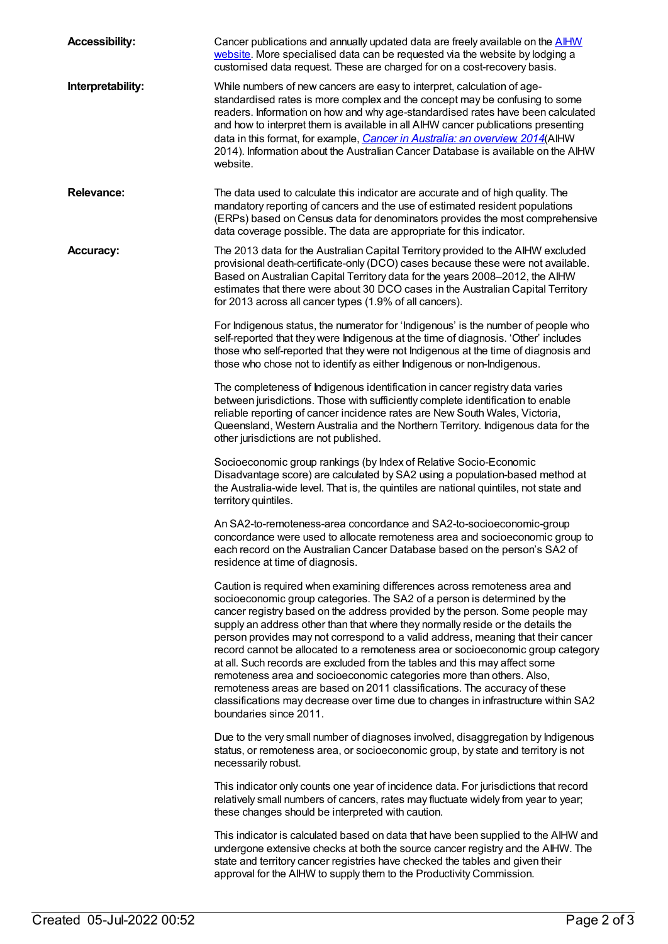| <b>Accessibility:</b> | Cancer publications and annually updated data are freely available on the <b>AIHW</b><br>website. More specialised data can be requested via the website by lodging a<br>customised data request. These are charged for on a cost-recovery basis.                                                                                                                                                                                                                                                                                                                                                                                                                                                                                                                                                                                                  |
|-----------------------|----------------------------------------------------------------------------------------------------------------------------------------------------------------------------------------------------------------------------------------------------------------------------------------------------------------------------------------------------------------------------------------------------------------------------------------------------------------------------------------------------------------------------------------------------------------------------------------------------------------------------------------------------------------------------------------------------------------------------------------------------------------------------------------------------------------------------------------------------|
| Interpretability:     | While numbers of new cancers are easy to interpret, calculation of age-<br>standardised rates is more complex and the concept may be confusing to some<br>readers. Information on how and why age-standardised rates have been calculated<br>and how to interpret them is available in all AIHW cancer publications presenting<br>data in this format, for example, Cancer in Australia: an overview, 2014(AIHW<br>2014). Information about the Australian Cancer Database is available on the AIHW<br>website.                                                                                                                                                                                                                                                                                                                                    |
| <b>Relevance:</b>     | The data used to calculate this indicator are accurate and of high quality. The<br>mandatory reporting of cancers and the use of estimated resident populations<br>(ERPs) based on Census data for denominators provides the most comprehensive<br>data coverage possible. The data are appropriate for this indicator.                                                                                                                                                                                                                                                                                                                                                                                                                                                                                                                            |
| <b>Accuracy:</b>      | The 2013 data for the Australian Capital Territory provided to the AIHW excluded<br>provisional death-certificate-only (DCO) cases because these were not available.<br>Based on Australian Capital Territory data for the years 2008-2012, the AIHW<br>estimates that there were about 30 DCO cases in the Australian Capital Territory<br>for 2013 across all cancer types (1.9% of all cancers).                                                                                                                                                                                                                                                                                                                                                                                                                                                |
|                       | For Indigenous status, the numerator for 'Indigenous' is the number of people who<br>self-reported that they were Indigenous at the time of diagnosis. 'Other' includes<br>those who self-reported that they were not Indigenous at the time of diagnosis and<br>those who chose not to identify as either Indigenous or non-Indigenous.                                                                                                                                                                                                                                                                                                                                                                                                                                                                                                           |
|                       | The completeness of Indigenous identification in cancer registry data varies<br>between jurisdictions. Those with sufficiently complete identification to enable<br>reliable reporting of cancer incidence rates are New South Wales, Victoria,<br>Queensland, Western Australia and the Northern Territory. Indigenous data for the<br>other jurisdictions are not published.                                                                                                                                                                                                                                                                                                                                                                                                                                                                     |
|                       | Socioeconomic group rankings (by Index of Relative Socio-Economic<br>Disadvantage score) are calculated by SA2 using a population-based method at<br>the Australia-wide level. That is, the quintiles are national quintiles, not state and<br>territory quintiles.                                                                                                                                                                                                                                                                                                                                                                                                                                                                                                                                                                                |
|                       | An SA2-to-remoteness-area concordance and SA2-to-socioeconomic-group<br>concordance were used to allocate remoteness area and socioeconomic group to<br>each record on the Australian Cancer Database based on the person's SA2 of<br>residence at time of diagnosis.                                                                                                                                                                                                                                                                                                                                                                                                                                                                                                                                                                              |
|                       | Caution is required when examining differences across remoteness area and<br>socioeconomic group categories. The SA2 of a person is determined by the<br>cancer registry based on the address provided by the person. Some people may<br>supply an address other than that where they normally reside or the details the<br>person provides may not correspond to a valid address, meaning that their cancer<br>record cannot be allocated to a remoteness area or socioeconomic group category<br>at all. Such records are excluded from the tables and this may affect some<br>remoteness area and socioeconomic categories more than others. Also,<br>remoteness areas are based on 2011 classifications. The accuracy of these<br>classifications may decrease over time due to changes in infrastructure within SA2<br>boundaries since 2011. |
|                       | Due to the very small number of diagnoses involved, disaggregation by Indigenous<br>status, or remoteness area, or socioeconomic group, by state and territory is not<br>necessarily robust.                                                                                                                                                                                                                                                                                                                                                                                                                                                                                                                                                                                                                                                       |
|                       | This indicator only counts one year of incidence data. For jurisdictions that record<br>relatively small numbers of cancers, rates may fluctuate widely from year to year;<br>these changes should be interpreted with caution.                                                                                                                                                                                                                                                                                                                                                                                                                                                                                                                                                                                                                    |
|                       | This indicator is calculated based on data that have been supplied to the AIHW and<br>undergone extensive checks at both the source cancer registry and the AIHW. The<br>state and territory cancer registries have checked the tables and given their<br>approval for the AIHW to supply them to the Productivity Commission.                                                                                                                                                                                                                                                                                                                                                                                                                                                                                                                     |